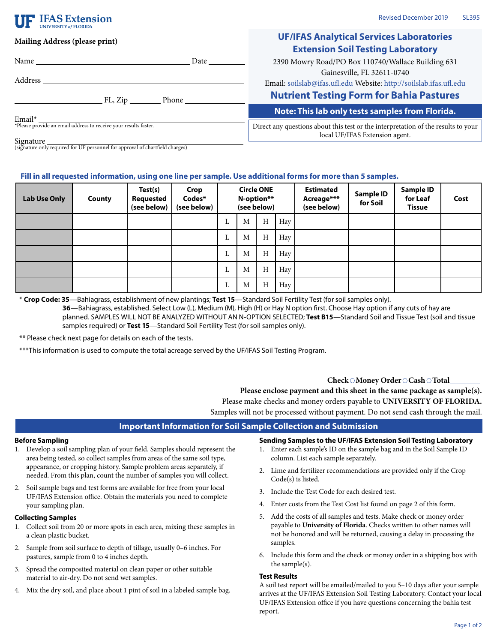# **IFAS Extension**

| Mailing Address (please print)                                                                     | <b>UF/IFAS Analytical Services Laboratories</b><br><b>Extension Soil Testing Laboratory</b>                                                         |  |  |  |  |
|----------------------------------------------------------------------------------------------------|-----------------------------------------------------------------------------------------------------------------------------------------------------|--|--|--|--|
| Date $\qquad \qquad$                                                                               | 2390 Mowry Road/PO Box 110740/Wallace Building 631                                                                                                  |  |  |  |  |
| Address                                                                                            | Gainesville, FL 32611-0740<br>Email: soilslab@ifas.ufl.edu Website: http://soilslab.ifas.ufl.edu<br><b>Nutrient Testing Form for Bahia Pastures</b> |  |  |  |  |
|                                                                                                    | Note: This lab only tests samples from Florida.                                                                                                     |  |  |  |  |
| Email*<br>Email *<br>*Please provide an email address to receive your results faster.<br>Sianatura | Direct any questions about this test or the interpretation of the results to your<br>local UF/IFAS Extension agent.                                 |  |  |  |  |

Signature (signature only required for UF personnel for approval of chartfield charges)

## **Fill in all requested information, using one line per sample. Use additional forms for more than 5 samples.**

| <b>Lab Use Only</b> | County | Test(s)<br><b>Requested</b><br>(see below) | Crop<br>Codes*<br>(see below) | <b>Circle ONE</b><br>N-option**<br>(see below) |   | <b>Estimated</b><br>Acreage***<br>(see below) | <b>Sample ID</b><br>for Soil | Sample ID<br>for Leaf<br><b>Tissue</b> | Cost |  |  |
|---------------------|--------|--------------------------------------------|-------------------------------|------------------------------------------------|---|-----------------------------------------------|------------------------------|----------------------------------------|------|--|--|
|                     |        |                                            |                               | ⊥                                              | M | $\, {\rm H}$                                  | Hay                          |                                        |      |  |  |
|                     |        |                                            |                               | ⊥                                              | M | $\, {\rm H}$                                  | Hay                          |                                        |      |  |  |
|                     |        |                                            |                               | ⊥                                              | M | H                                             | Hay                          |                                        |      |  |  |
|                     |        |                                            |                               | L                                              | M | H                                             | Hay                          |                                        |      |  |  |
|                     |        |                                            |                               | ⊥                                              | M | H                                             | Hay                          |                                        |      |  |  |

\* **Crop Code: 35**—Bahiagrass, establishment of new plantings; **Test 15**—Standard Soil Fertility Test (for soil samples only). **36**—Bahiagrass, established. Select Low (L), Medium (M), High (H) or Hay N option first. Choose Hay option if any cuts of hay are planned. SAMPLES WILL NOT BE ANALYZED WITHOUT AN N-OPTION SELECTED; **Test B15**—Standard Soil and Tissue Test (soil and tissue samples required) or **Test 15**—Standard Soil Fertility Test (for soil samples only).

\*\* Please check next page for details on each of the tests.

\*\*\*This information is used to compute the total acreage served by the UF/IFAS Soil Testing Program.

### **Check Money Order Cash Total**

**Please enclose payment and this sheet in the same package as sample(s).** Please make checks and money orders payable to **UNIVERSITY OF FLORIDA.** Samples will not be processed without payment. Do not send cash through the mail.

## **Important Information for Soil Sample Collection and Submission**

#### **Before Sampling**

- 1. Develop a soil sampling plan of your field. Samples should represent the area being tested, so collect samples from areas of the same soil type, appearance, or cropping history. Sample problem areas separately, if needed. From this plan, count the number of samples you will collect.
- 2. Soil sample bags and test forms are available for free from your local UF/IFAS Extension office. Obtain the materials you need to complete your sampling plan.

## **Collecting Samples**

- 1. Collect soil from 20 or more spots in each area, mixing these samples in a clean plastic bucket.
- 2. Sample from soil surface to depth of tillage, usually 0–6 inches. For pastures, sample from 0 to 4 inches depth.
- 3. Spread the composited material on clean paper or other suitable material to air-dry. Do not send wet samples.
- 4. Mix the dry soil, and place about 1 pint of soil in a labeled sample bag.

**Sending Samples to the UF/IFAS Extension Soil Testing Laboratory**

- 1. Enter each sample's ID on the sample bag and in the Soil Sample ID column. List each sample separately.
- 2. Lime and fertilizer recommendations are provided only if the Crop Code(s) is listed.
- 3. Include the Test Code for each desired test.
- 4. Enter costs from the Test Cost list found on page 2 of this form.
- 5. Add the costs of all samples and tests. Make check or money order payable to **University of Florida**. Checks written to other names will not be honored and will be returned, causing a delay in processing the samples.
- 6. Include this form and the check or money order in a shipping box with the sample(s).

## **Test Results**

A soil test report will be emailed/mailed to you 5–10 days after your sample arrives at the UF/IFAS Extension Soil Testing Laboratory. Contact your local UF/IFAS Extension office if you have questions concerning the bahia test report.